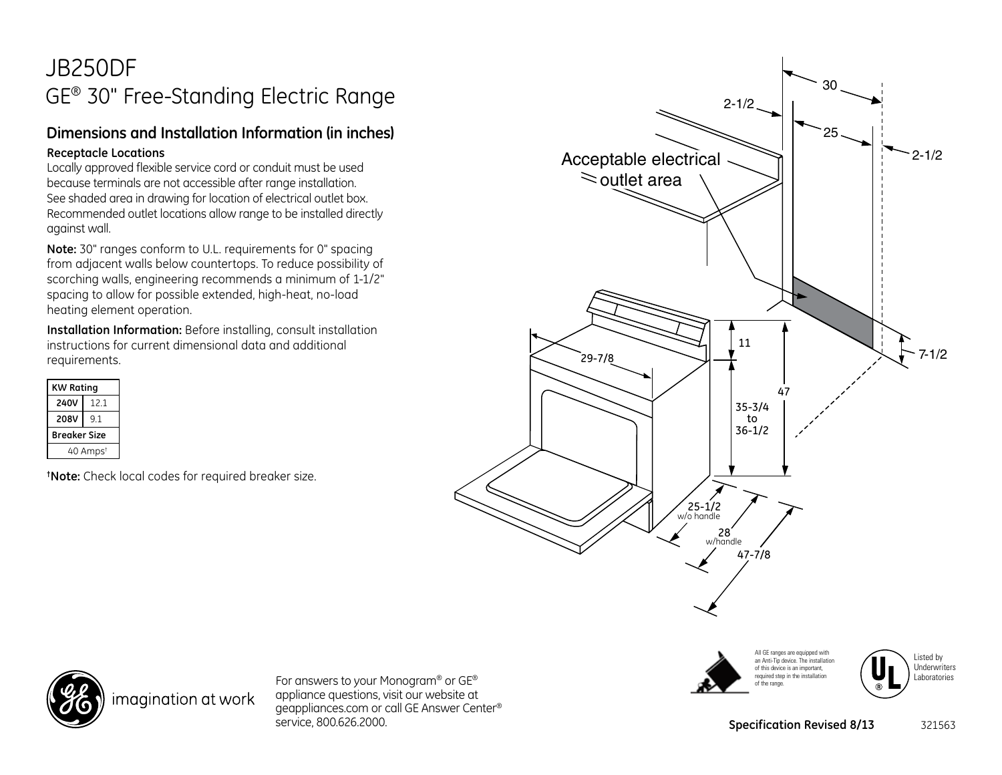## JB250DF GE® 30" Free-Standing Electric Range

## **Dimensions and Installation Information (in inches)**

#### **Receptacle Locations**

Locally approved flexible service cord or conduit must be used because terminals are not accessible after range installation. See shaded area in drawing for location of electrical outlet box. Recommended outlet locations allow range to be installed directly against wall.

**Note:** 30" ranges conform to U.L. requirements for 0" spacing from adjacent walls below countertops. To reduce possibility of scorching walls, engineering recommends a minimum of 1-1/2" spacing to allow for possible extended, high-heat, no-load heating element operation.

**Installation Information:** Before installing, consult installation instructions for current dimensional data and additional requirements.

| KW Rating            |     |
|----------------------|-----|
| 240V                 | 121 |
| 208V                 | 9.1 |
| Breaker Size         |     |
| 40 Amps <sup>t</sup> |     |

**† Note:** Check local codes for required breaker size.









For answers to your Monogram® or GE® appliance questions, visit our website at geappliances.com or call GE Answer Center® service, 800.626.2000.